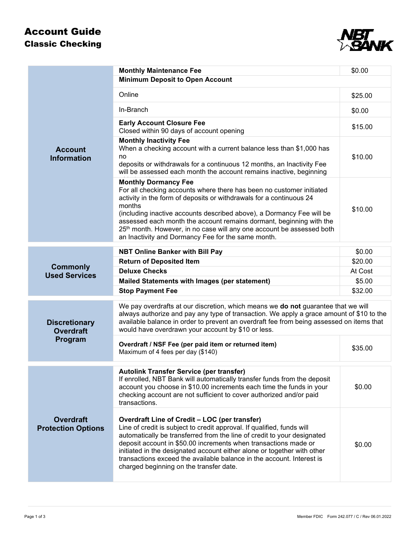## Account Guide Classic Checking



|                                                     | <b>Monthly Maintenance Fee</b>                                                                                                                                                                                                                                                                                                                                                                                                                                                  | \$0.00  |  |
|-----------------------------------------------------|---------------------------------------------------------------------------------------------------------------------------------------------------------------------------------------------------------------------------------------------------------------------------------------------------------------------------------------------------------------------------------------------------------------------------------------------------------------------------------|---------|--|
| <b>Account</b><br><b>Information</b>                | <b>Minimum Deposit to Open Account</b>                                                                                                                                                                                                                                                                                                                                                                                                                                          |         |  |
|                                                     | Online                                                                                                                                                                                                                                                                                                                                                                                                                                                                          | \$25.00 |  |
|                                                     | In-Branch                                                                                                                                                                                                                                                                                                                                                                                                                                                                       | \$0.00  |  |
|                                                     | <b>Early Account Closure Fee</b><br>Closed within 90 days of account opening                                                                                                                                                                                                                                                                                                                                                                                                    | \$15.00 |  |
|                                                     | <b>Monthly Inactivity Fee</b><br>When a checking account with a current balance less than \$1,000 has<br>no<br>deposits or withdrawals for a continuous 12 months, an Inactivity Fee<br>will be assessed each month the account remains inactive, beginning                                                                                                                                                                                                                     | \$10.00 |  |
|                                                     | <b>Monthly Dormancy Fee</b><br>For all checking accounts where there has been no customer initiated<br>activity in the form of deposits or withdrawals for a continuous 24<br>months<br>(including inactive accounts described above), a Dormancy Fee will be<br>assessed each month the account remains dormant, beginning with the<br>25 <sup>th</sup> month. However, in no case will any one account be assessed both<br>an Inactivity and Dormancy Fee for the same month. | \$10.00 |  |
| <b>Commonly</b><br><b>Used Services</b>             | <b>NBT Online Banker with Bill Pay</b>                                                                                                                                                                                                                                                                                                                                                                                                                                          | \$0.00  |  |
|                                                     | <b>Return of Deposited Item</b>                                                                                                                                                                                                                                                                                                                                                                                                                                                 | \$20.00 |  |
|                                                     | <b>Deluxe Checks</b>                                                                                                                                                                                                                                                                                                                                                                                                                                                            | At Cost |  |
|                                                     | <b>Mailed Statements with Images (per statement)</b>                                                                                                                                                                                                                                                                                                                                                                                                                            | \$5.00  |  |
|                                                     | <b>Stop Payment Fee</b>                                                                                                                                                                                                                                                                                                                                                                                                                                                         | \$32.00 |  |
| <b>Discretionary</b><br><b>Overdraft</b><br>Program | We pay overdrafts at our discretion, which means we do not guarantee that we will<br>always authorize and pay any type of transaction. We apply a grace amount of \$10 to the<br>available balance in order to prevent an overdraft fee from being assessed on items that<br>would have overdrawn your account by \$10 or less.                                                                                                                                                 |         |  |
|                                                     | Overdraft / NSF Fee (per paid item or returned item)<br>Maximum of 4 fees per day (\$140)                                                                                                                                                                                                                                                                                                                                                                                       | \$35.00 |  |
| <b>Overdraft</b><br><b>Protection Options</b>       | <b>Autolink Transfer Service (per transfer)</b><br>If enrolled, NBT Bank will automatically transfer funds from the deposit<br>account you choose in \$10.00 increments each time the funds in your<br>checking account are not sufficient to cover authorized and/or paid<br>transactions.                                                                                                                                                                                     | \$0.00  |  |
|                                                     | Overdraft Line of Credit - LOC (per transfer)<br>Line of credit is subject to credit approval. If qualified, funds will<br>automatically be transferred from the line of credit to your designated<br>deposit account in \$50.00 increments when transactions made or<br>initiated in the designated account either alone or together with other<br>transactions exceed the available balance in the account. Interest is<br>charged beginning on the transfer date.            | \$0.00  |  |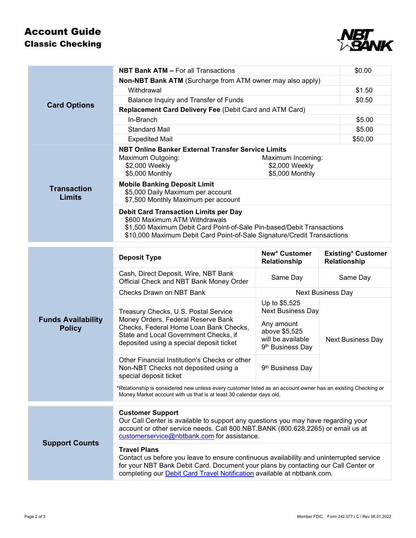## Account Guide Classic Checking



| <b>NBT Bank ATM - For all Transactions</b>                                                                                                                                                                                                                                      |                                                                                  | \$0.00                                    |  |
|---------------------------------------------------------------------------------------------------------------------------------------------------------------------------------------------------------------------------------------------------------------------------------|----------------------------------------------------------------------------------|-------------------------------------------|--|
| Non-NBT Bank ATM (Surcharge from ATM owner may also apply)                                                                                                                                                                                                                      |                                                                                  |                                           |  |
| Withdrawal                                                                                                                                                                                                                                                                      |                                                                                  | \$1.50                                    |  |
| Balance Inquiry and Transfer of Funds                                                                                                                                                                                                                                           |                                                                                  | \$0.50                                    |  |
| Replacement Card Delivery Fee (Debit Card and ATM Card)                                                                                                                                                                                                                         |                                                                                  |                                           |  |
| In-Branch                                                                                                                                                                                                                                                                       |                                                                                  | \$5.00                                    |  |
| <b>Standard Mail</b>                                                                                                                                                                                                                                                            |                                                                                  | \$5.00                                    |  |
| <b>Expedited Mail</b>                                                                                                                                                                                                                                                           |                                                                                  | \$50.00                                   |  |
| NBT Online Banker External Transfer Service Limits<br>Maximum Outgoing:<br>Maximum Incoming:<br>\$2,000 Weekly<br>\$2,000 Weekly<br>\$5,000 Monthly<br>\$5,000 Monthly                                                                                                          |                                                                                  |                                           |  |
| <b>Mobile Banking Deposit Limit</b><br>\$5,000 Daily Maximum per account<br>\$7,500 Monthly Maximum per account                                                                                                                                                                 |                                                                                  |                                           |  |
| <b>Debit Card Transaction Limits per Day</b><br>\$600 Maximum ATM Withdrawals<br>\$1,500 Maximum Debit Card Point-of-Sale Pin-based/Debit Transactions<br>\$10,000 Maximum Debit Card Point-of-Sale Signature/Credit Transactions                                               |                                                                                  |                                           |  |
| <b>Deposit Type</b>                                                                                                                                                                                                                                                             | <b>New* Customer</b><br>Relationship                                             | <b>Existing* Customer</b><br>Relationship |  |
| Cash, Direct Deposit, Wire, NBT Bank<br>Official Check and NBT Bank Money Order                                                                                                                                                                                                 | Same Day                                                                         | Same Day                                  |  |
| Checks Drawn on NBT Bank                                                                                                                                                                                                                                                        | <b>Next Business Day</b>                                                         |                                           |  |
| Treasury Checks, U.S. Postal Service<br>Money Orders, Federal Reserve Bank<br>Checks, Federal Home Loan Bank Checks,<br>State and Local Government Checks, if<br>deposited using a special deposit ticket                                                                       | Up to \$5,525<br><b>Next Business Day</b>                                        | <b>Next Business Day</b>                  |  |
|                                                                                                                                                                                                                                                                                 | Any amount<br>above \$5,525<br>will be available<br>9 <sup>th</sup> Business Day |                                           |  |
| Other Financial Institution's Checks or other<br>Non-NBT Checks not deposited using a<br>special deposit ticket                                                                                                                                                                 | 9 <sup>th</sup> Business Day                                                     |                                           |  |
| *Relationship is considered new unless every customer listed as an account owner has an existing Checking or<br>Money Market account with us that is at least 30 calendar days old.                                                                                             |                                                                                  |                                           |  |
| <b>Customer Support</b>                                                                                                                                                                                                                                                         |                                                                                  |                                           |  |
| Our Call Center is available to support any questions you may have regarding your<br>account or other service needs. Call 800.NBT.BANK (800.628.2265) or email us at<br>customerservice@nbtbank.com for assistance.                                                             |                                                                                  |                                           |  |
| <b>Travel Plans</b><br>Contact us before you leave to ensure continuous availability and uninterrupted service<br>for your NBT Bank Debit Card. Document your plans by contacting our Call Center or<br>completing our Debit Card Travel Notification available at nbtbank.com. |                                                                                  |                                           |  |
|                                                                                                                                                                                                                                                                                 |                                                                                  |                                           |  |